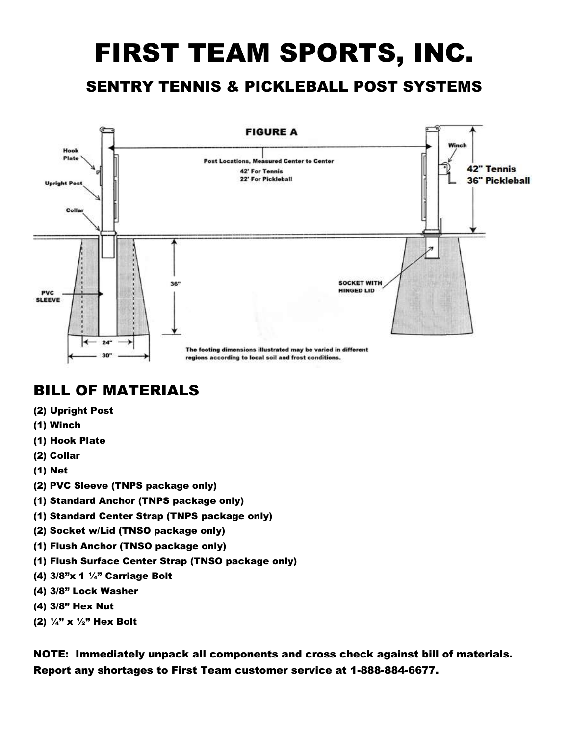## FIRST TEAM SPORTS, INC.

## SENTRY TENNIS & PICKLEBALL POST SYSTEMS



## **BILL OF MATERIALS**

- (2) Upright Post
- (1) Winch
- (1) Hook Plate
- (2) Collar
- (1) Net
- (2) PVC Sleeve (TNPS package only)
- (1) Standard Anchor (TNPS package only)
- (1) Standard Center Strap (TNPS package only)
- (2) Socket w/Lid (TNSO package only)
- (1) Flush Anchor (TNSO package only)
- (1) Flush Surface Center Strap (TNSO package only)
- (4) 3/8"x 1 ¼" Carriage Bolt
- (4) 3/8" Lock Washer
- (4) 3/8" Hex Nut
- (2)  $\frac{1}{4}$ " x  $\frac{1}{2}$ " Hex Bolt

NOTE: Immediately unpack all components and cross check against bill of materials. Report any shortages to First Team customer service at 1-888-884-6677.